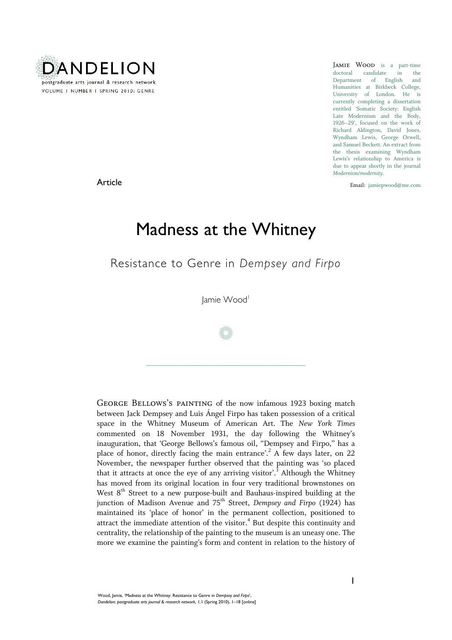

doctoral candidate in the Department of English and Humanities at Birkbeck College, University of London. He is currently completing a dissertation entitled 'Somatic Society: English Late Modernism and the Body, 1926–29', focused on the work of Richard Aldington, David Jones, Wyndham Lewis, George Orwell, and Samuel Beckett. An extract from the thesis examining Wyndham Lewis's relationship to America is due to appear shortly in the journal *Modernism/modernity*.

Email: jamiepwood@me.com

Article

## Madness at the Whitney

Resistance to Genre in *Dempsey and Firpo*

Jamie Wood

/

\_\_\_\_\_\_\_\_\_\_\_\_\_\_\_\_\_\_\_\_\_\_\_\_\_\_\_\_\_\_\_\_\_\_\_\_\_\_\_\_\_\_

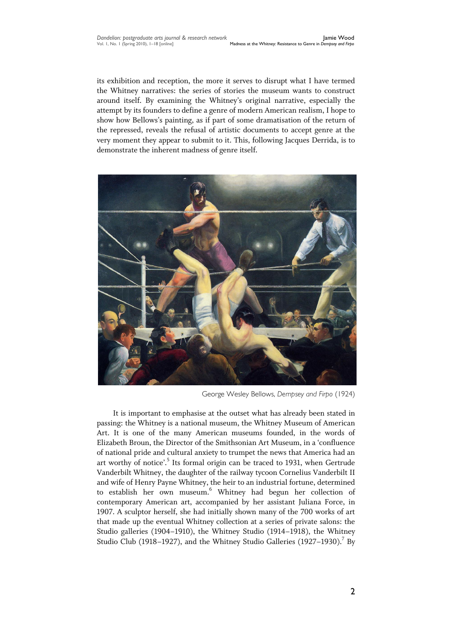its exhibition and reception, the more it serves to disrupt what I have termed the Whitney narratives: the series of stories the museum wants to construct around itself. By examining the Whitney's original narrative, especially the attempt by its founders to define a genre of modern American realism, I hope to show how Bellows's painting, as if part of some dramatisation of the return of the repressed, reveals the refusal of artistic documents to accept genre at the very moment they appear to submit to it. This, following Jacques Derrida, is to demonstrate the inherent madness of genre itself.



George Wesley Bellows, *Dempsey and Firpo* (1924)

It is important to emphasise at the outset what has already been stated in passing: the Whitney is a national museum, the Whitney Museum of American Art. It is one of the many American museums founded, in the words of Elizabeth Broun, the Director of the Smithsonian Art Museum, in a 'confluence of national pride and cultural anxiety to trumpet the news that America had an art worthy of notice'.<sup>5</sup> Its formal origin can be traced to 1931, when Gertrude Vanderbilt Whitney, the daughter of the railway tycoon Cornelius Vanderbilt II and wife of Henry Payne Whitney, the heir to an industrial fortune, determined to establish her own museum.<sup>6</sup> Whitney had begun her collection of contemporary American art, accompanied by her assistant Juliana Force, in 1907. A sculptor herself, she had initially shown many of the 700 works of art that made up the eventual Whitney collection at a series of private salons: the Studio galleries (1904–1910), the Whitney Studio (1914–1918), the Whitney Studio Club (1918-1927), and the Whitney Studio Galleries (1927-1930).<sup>7</sup> By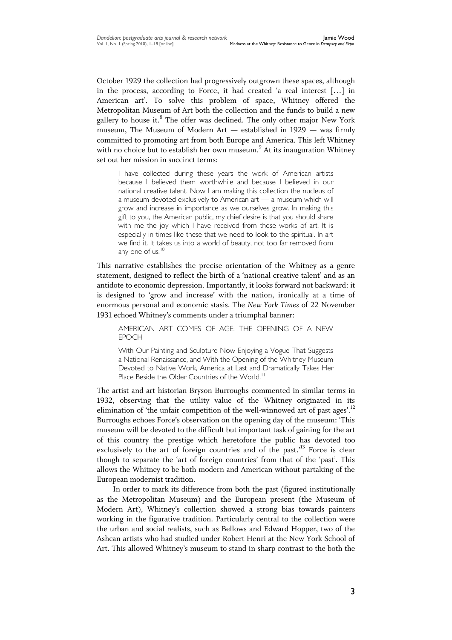October 1929 the collection had progressively outgrown these spaces, although in the process, according to Force, it had created 'a real interest [...] in American art'. To solve this problem of space, Whitney offered the Metropolitan Museum of Art both the collection and the funds to build a new gallery to house it.<sup>8</sup> The offer was declined. The only other major New York museum, The Museum of Modern Art — established in 1929 — was firmly committed to promoting art from both Europe and America. This left Whitney with no choice but to establish her own museum.<sup>9</sup> At its inauguration Whitney set out her mission in succinct terms:

I have collected during these years the work of American artists because I believed them worthwhile and because I believed in our national creative talent. Now I am making this collection the nucleus of a museum devoted exclusively to American art — a museum which will grow and increase in importance as we ourselves grow. In making this gift to you, the American public, my chief desire is that you should share with me the joy which I have received from these works of art. It is especially in times like these that we need to look to the spiritual. In art we find it. It takes us into a world of beauty, not too far removed from any one of us. $10$ 

This narrative establishes the precise orientation of the Whitney as a genre statement, designed to reflect the birth of a 'national creative talent' and as an antidote to economic depression. Importantly, it looks forward not backward: it is designed to 'grow and increase' with the nation, ironically at a time of enormous personal and economic stasis. The *New York Times* of 22 November 1931 echoed Whitney's comments under a triumphal banner:

AMERICAN ART COMES OF AGE: THE OPENING OF A NEW EPOCH

With Our Painting and Sculpture Now Enjoying a Vogue That Suggests a National Renaissance, and With the Opening of the Whitney Museum Devoted to Native Work, America at Last and Dramatically Takes Her Place Beside the Older Countries of the World.<sup>11</sup>

The artist and art historian Bryson Burroughs commented in similar terms in 1932, observing that the utility value of the Whitney originated in its elimination of 'the unfair competition of the well-winnowed art of past ages'.<sup>12</sup> Burroughs echoes Force's observation on the opening day of the museum: ‗This museum will be devoted to the difficult but important task of gaining for the art of this country the prestige which heretofore the public has devoted too exclusively to the art of foreign countries and of the past.<sup>13</sup> Force is clear though to separate the 'art of foreign countries' from that of the 'past'. This allows the Whitney to be both modern and American without partaking of the European modernist tradition.

In order to mark its difference from both the past (figured institutionally as the Metropolitan Museum) and the European present (the Museum of Modern Art), Whitney's collection showed a strong bias towards painters working in the figurative tradition. Particularly central to the collection were the urban and social realists, such as Bellows and Edward Hopper, two of the Ashcan artists who had studied under Robert Henri at the New York School of Art. This allowed Whitney's museum to stand in sharp contrast to the both the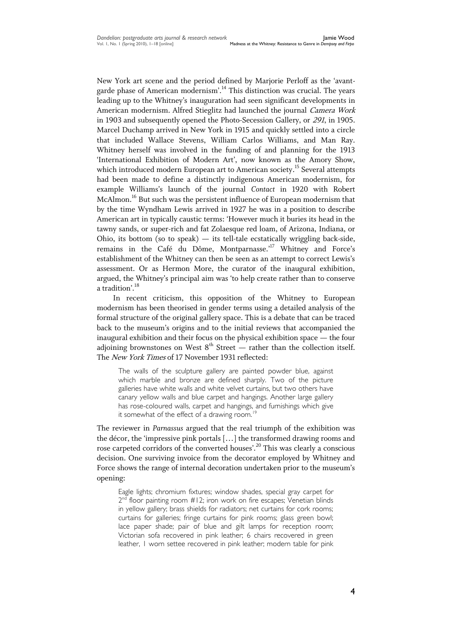New York art scene and the period defined by Marjorie Perloff as the 'avantgarde phase of American modernism'.<sup>14</sup> This distinction was crucial. The years leading up to the Whitney's inauguration had seen significant developments in American modernism. Alfred Stieglitz had launched the journal Camera Work in 1903 and subsequently opened the Photo-Secession Gallery, or 291, in 1905. Marcel Duchamp arrived in New York in 1915 and quickly settled into a circle that included Wallace Stevens, William Carlos Williams, and Man Ray. Whitney herself was involved in the funding of and planning for the 1913 'International Exhibition of Modern Art', now known as the Amory Show, which introduced modern European art to American society.<sup>15</sup> Several attempts had been made to define a distinctly indigenous American modernism, for example Williams's launch of the journal *Contact* in 1920 with Robert McAlmon.<sup>16</sup> But such was the persistent influence of European modernism that by the time Wyndham Lewis arrived in 1927 he was in a position to describe American art in typically caustic terms: 'However much it buries its head in the tawny sands, or super-rich and fat Zolaesque red loam, of Arizona, Indiana, or Ohio, its bottom (so to speak)  $-$  its tell-tale ecstatically wriggling back-side, remains in the Café du Dôme, Montparnasse.'<sup>17</sup> Whitney and Force's establishment of the Whitney can then be seen as an attempt to correct Lewis's assessment. Or as Hermon More, the curator of the inaugural exhibition, argued, the Whitney's principal aim was 'to help create rather than to conserve a tradition'.<sup>18</sup>

In recent criticism, this opposition of the Whitney to European modernism has been theorised in gender terms using a detailed analysis of the formal structure of the original gallery space. This is a debate that can be traced back to the museum's origins and to the initial reviews that accompanied the inaugural exhibition and their focus on the physical exhibition space — the four adjoining brownstones on West  $8<sup>th</sup>$  Street — rather than the collection itself. The New York Times of 17 November 1931 reflected:

The walls of the sculpture gallery are painted powder blue, against which marble and bronze are defined sharply. Two of the picture galleries have white walls and white velvet curtains, but two others have canary yellow walls and blue carpet and hangings. Another large gallery has rose-coloured walls, carpet and hangings, and furnishings which give it somewhat of the effect of a drawing room.<sup>1</sup>

The reviewer in *Parnassus* argued that the real triumph of the exhibition was the décor, the 'impressive pink portals [...] the transformed drawing rooms and rose carpeted corridors of the converted houses'.<sup>20</sup> This was clearly a conscious decision. One surviving invoice from the decorator employed by Whitney and Force shows the range of internal decoration undertaken prior to the museum's opening:

Eagle lights; chromium fixtures; window shades, special gray carpet for 2<sup>nd</sup> floor painting room #12; iron work on fire escapes; Venetian blinds in yellow gallery; brass shields for radiators; net curtains for cork rooms; curtains for galleries; fringe curtains for pink rooms; glass green bowl; lace paper shade; pair of blue and gilt lamps for reception room; Victorian sofa recovered in pink leather; 6 chairs recovered in green leather, 1 worn settee recovered in pink leather; modern table for pink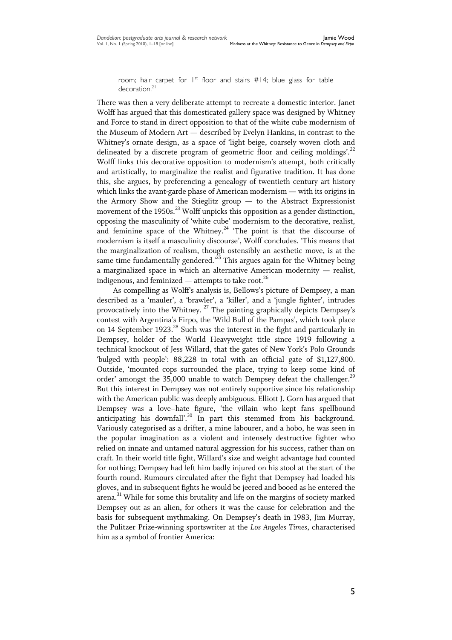room; hair carpet for  $1^{st}$  floor and stairs  $#14$ ; blue glass for table decoration.<sup>21</sup>

There was then a very deliberate attempt to recreate a domestic interior. Janet Wolff has argued that this domesticated gallery space was designed by Whitney and Force to stand in direct opposition to that of the white cube modernism of the Museum of Modern Art — described by Evelyn Hankins, in contrast to the Whitney's ornate design, as a space of 'light beige, coarsely woven cloth and delineated by a discrete program of geometric floor and ceiling moldings'.<sup>22</sup> Wolff links this decorative opposition to modernism's attempt, both critically and artistically, to marginalize the realist and figurative tradition. It has done this, she argues, by preferencing a genealogy of twentieth century art history which links the avant-garde phase of American modernism — with its origins in the Armory Show and the Stieglitz group — to the Abstract Expressionist movement of the 1950s. $^{23}$  Wolff unpicks this opposition as a gender distinction, opposing the masculinity of ‗white cube' modernism to the decorative, realist, and feminine space of the Whitney.<sup>24</sup> 'The point is that the discourse of modernism is itself a masculinity discourse', Wolff concludes. ‗This means that the marginalization of realism, though ostensibly an aesthetic move, is at the same time fundamentally gendered. $3^{25}$  This argues again for the Whitney being a marginalized space in which an alternative American modernity — realist, indigenous, and feminized — attempts to take root.<sup>26</sup>

As compelling as Wolff's analysis is, Bellows's picture of Dempsey, a man described as a 'mauler', a 'brawler', a 'killer', and a 'jungle fighter', intrudes provocatively into the Whitney.<sup>27</sup> The painting graphically depicts Dempsey's contest with Argentina's Firpo, the 'Wild Bull of the Pampas', which took place on 14 September 1923. <sup>28</sup> Such was the interest in the fight and particularly in Dempsey, holder of the World Heavyweight title since 1919 following a technical knockout of Jess Willard, that the gates of New York's Polo Grounds ‗bulged with people': 88,228 in total with an official gate of \$1,127,800. Outside, 'mounted cops surrounded the place, trying to keep some kind of order' amongst the 35,000 unable to watch Dempsey defeat the challenger.<sup>29</sup> But this interest in Dempsey was not entirely supportive since his relationship with the American public was deeply ambiguous. Elliott J. Gorn has argued that Dempsey was a love-hate figure, 'the villain who kept fans spellbound anticipating his downfall'.<sup>30</sup> In part this stemmed from his background. Variously categorised as a drifter, a mine labourer, and a hobo, he was seen in the popular imagination as a violent and intensely destructive fighter who relied on innate and untamed natural aggression for his success, rather than on craft. In their world title fight, Willard's size and weight advantage had counted for nothing; Dempsey had left him badly injured on his stool at the start of the fourth round. Rumours circulated after the fight that Dempsey had loaded his gloves, and in subsequent fights he would be jeered and booed as he entered the arena.<sup>31</sup> While for some this brutality and life on the margins of society marked Dempsey out as an alien, for others it was the cause for celebration and the basis for subsequent mythmaking. On Dempsey's death in 1983, Jim Murray, the Pulitzer Prize-winning sportswriter at the *Los Angeles Times*, characterised him as a symbol of frontier America: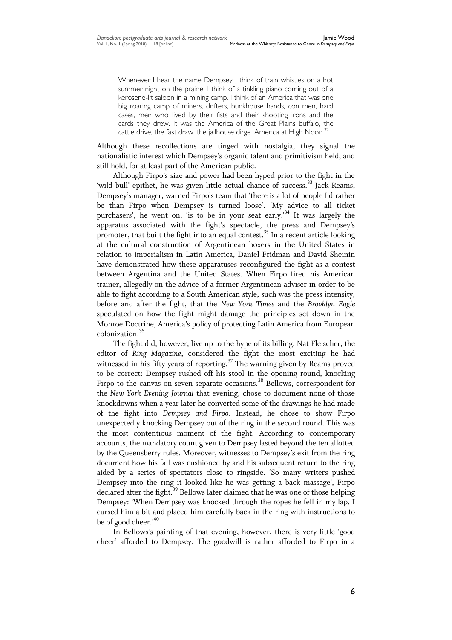Whenever I hear the name Dempsey I think of train whistles on a hot summer night on the prairie. I think of a tinkling piano coming out of a kerosene-lit saloon in a mining camp. I think of an America that was one big roaring camp of miners, drifters, bunkhouse hands, con men, hard cases, men who lived by their fists and their shooting irons and the cards they drew. It was the America of the Great Plains buffalo, the cattle drive, the fast draw, the jailhouse dirge. America at High Noon.<sup>32</sup>

Although these recollections are tinged with nostalgia, they signal the nationalistic interest which Dempsey's organic talent and primitivism held, and still hold, for at least part of the American public.

Although Firpo's size and power had been hyped prior to the fight in the 'wild bull' epithet, he was given little actual chance of success.<sup>33</sup> Jack Reams, Dempsey's manager, warned Firpo's team that 'there is a lot of people I'd rather be than Firpo when Dempsey is turned loose'. 'My advice to all ticket purchasers', he went on, 'is to be in your seat early.<sup>34</sup> It was largely the apparatus associated with the fight's spectacle, the press and Dempsey's promoter, that built the fight into an equal contest.<sup>35</sup> In a recent article looking at the cultural construction of Argentinean boxers in the United States in relation to imperialism in Latin America, Daniel Fridman and David Sheinin have demonstrated how these apparatuses reconfigured the fight as a contest between Argentina and the United States. When Firpo fired his American trainer, allegedly on the advice of a former Argentinean adviser in order to be able to fight according to a South American style, such was the press intensity, before and after the fight, that the *New York Times* and the *Brooklyn Eagle* speculated on how the fight might damage the principles set down in the Monroe Doctrine, America's policy of protecting Latin America from European colonization.<sup>36</sup>

The fight did, however, live up to the hype of its billing. Nat Fleischer, the editor of *Ring Magazine*, considered the fight the most exciting he had witnessed in his fifty years of reporting.<sup>37</sup> The warning given by Reams proved to be correct: Dempsey rushed off his stool in the opening round, knocking Firpo to the canvas on seven separate occasions.<sup>38</sup> Bellows, correspondent for the *New York Evening Journal* that evening, chose to document none of those knockdowns when a year later he converted some of the drawings he had made of the fight into *Dempsey and Firpo*. Instead, he chose to show Firpo unexpectedly knocking Dempsey out of the ring in the second round. This was the most contentious moment of the fight. According to contemporary accounts, the mandatory count given to Dempsey lasted beyond the ten allotted by the Queensberry rules. Moreover, witnesses to Dempsey's exit from the ring document how his fall was cushioned by and his subsequent return to the ring aided by a series of spectators close to ringside. 'So many writers pushed Dempsey into the ring it looked like he was getting a back massage', Firpo declared after the fight. $39$  Bellows later claimed that he was one of those helping Dempsey: ‗When Dempsey was knocked through the ropes he fell in my lap. I cursed him a bit and placed him carefully back in the ring with instructions to be of good cheer.'<sup>40</sup>

In Bellows's painting of that evening, however, there is very little 'good cheer' afforded to Dempsey. The goodwill is rather afforded to Firpo in a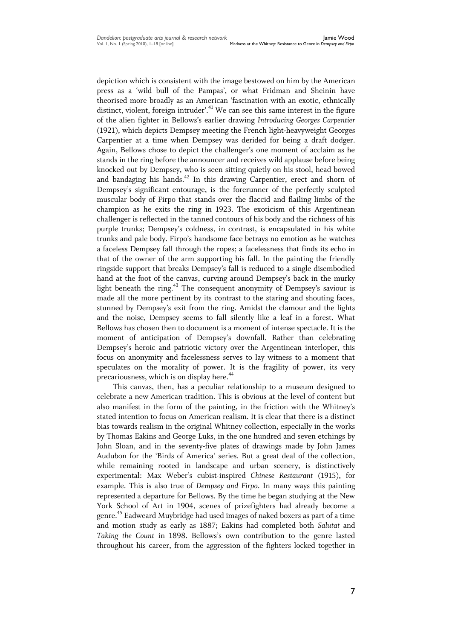depiction which is consistent with the image bestowed on him by the American press as a 'wild bull of the Pampas', or what Fridman and Sheinin have theorised more broadly as an American ‗fascination with an exotic, ethnically distinct, violent, foreign intruder'.<sup>41</sup> We can see this same interest in the figure of the alien fighter in Bellows's earlier drawing *Introducing Georges Carpentier* (1921), which depicts Dempsey meeting the French light-heavyweight Georges Carpentier at a time when Dempsey was derided for being a draft dodger. Again, Bellows chose to depict the challenger's one moment of acclaim as he stands in the ring before the announcer and receives wild applause before being knocked out by Dempsey, who is seen sitting quietly on his stool, head bowed and bandaging his hands.<sup>42</sup> In this drawing Carpentier, erect and shorn of Dempsey's significant entourage, is the forerunner of the perfectly sculpted muscular body of Firpo that stands over the flaccid and flailing limbs of the champion as he exits the ring in 1923. The exoticism of this Argentinean challenger is reflected in the tanned contours of his body and the richness of his purple trunks; Dempsey's coldness, in contrast, is encapsulated in his white trunks and pale body. Firpo's handsome face betrays no emotion as he watches a faceless Dempsey fall through the ropes; a facelessness that finds its echo in that of the owner of the arm supporting his fall. In the painting the friendly ringside support that breaks Dempsey's fall is reduced to a single disembodied hand at the foot of the canvas, curving around Dempsey's back in the murky light beneath the ring.<sup>43</sup> The consequent anonymity of Dempsey's saviour is made all the more pertinent by its contrast to the staring and shouting faces, stunned by Dempsey's exit from the ring. Amidst the clamour and the lights and the noise, Dempsey seems to fall silently like a leaf in a forest. What Bellows has chosen then to document is a moment of intense spectacle. It is the moment of anticipation of Dempsey's downfall. Rather than celebrating Dempsey's heroic and patriotic victory over the Argentinean interloper, this focus on anonymity and facelessness serves to lay witness to a moment that speculates on the morality of power. It is the fragility of power, its very precariousness, which is on display here.<sup>44</sup>

This canvas, then, has a peculiar relationship to a museum designed to celebrate a new American tradition. This is obvious at the level of content but also manifest in the form of the painting, in the friction with the Whitney's stated intention to focus on American realism. It is clear that there is a distinct bias towards realism in the original Whitney collection, especially in the works by Thomas Eakins and George Luks, in the one hundred and seven etchings by John Sloan, and in the seventy-five plates of drawings made by John James Audubon for the 'Birds of America' series. But a great deal of the collection, while remaining rooted in landscape and urban scenery, is distinctively experimental: Max Weber's cubist-inspired *Chinese Restaurant* (1915), for example. This is also true of *Dempsey and Firpo*. In many ways this painting represented a departure for Bellows. By the time he began studying at the New York School of Art in 1904, scenes of prizefighters had already become a genre. <sup>45</sup> Eadweard Muybridge had used images of naked boxers as part of a time and motion study as early as 1887; Eakins had completed both *Salutat* and *Taking the Count* in 1898. Bellows's own contribution to the genre lasted throughout his career, from the aggression of the fighters locked together in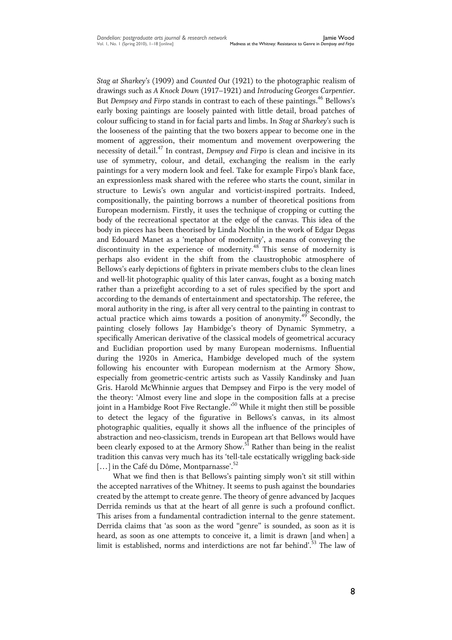*Stag at Sharkey's* (1909) and *Counted Out* (1921) to the photographic realism of drawings such as *A Knock Down* (1917–1921) and *Introducing Georges Carpentier*. But *Dempsey and Firpo* stands in contrast to each of these paintings.<sup>46</sup> Bellows's early boxing paintings are loosely painted with little detail, broad patches of colour sufficing to stand in for facial parts and limbs. In *Stag at Sharkey's* such is the looseness of the painting that the two boxers appear to become one in the moment of aggression, their momentum and movement overpowering the necessity of detail.<sup>47</sup> In contrast, *Dempsey and Firpo* is clean and incisive in its use of symmetry, colour, and detail, exchanging the realism in the early paintings for a very modern look and feel. Take for example Firpo's blank face, an expressionless mask shared with the referee who starts the count, similar in structure to Lewis's own angular and vorticist-inspired portraits. Indeed, compositionally, the painting borrows a number of theoretical positions from European modernism. Firstly, it uses the technique of cropping or cutting the body of the recreational spectator at the edge of the canvas. This idea of the body in pieces has been theorised by Linda Nochlin in the work of Edgar Degas and Edouard Manet as a 'metaphor of modernity', a means of conveying the discontinuity in the experience of modernity.<sup>48</sup> This sense of modernity is perhaps also evident in the shift from the claustrophobic atmosphere of Bellows's early depictions of fighters in private members clubs to the clean lines and well-lit photographic quality of this later canvas, fought as a boxing match rather than a prizefight according to a set of rules specified by the sport and according to the demands of entertainment and spectatorship. The referee, the moral authority in the ring, is after all very central to the painting in contrast to actual practice which aims towards a position of anonymity.<sup>49</sup> Secondly, the painting closely follows Jay Hambidge's theory of Dynamic Symmetry, a specifically American derivative of the classical models of geometrical accuracy and Euclidian proportion used by many European modernisms. Influential during the 1920s in America, Hambidge developed much of the system following his encounter with European modernism at the Armory Show, especially from geometric-centric artists such as Vassily Kandinsky and Juan Gris. Harold McWhinnie argues that Dempsey and Firpo is the very model of the theory: ‗Almost every line and slope in the composition falls at a precise joint in a Hambidge Root Five Rectangle.<sup>50</sup> While it might then still be possible to detect the legacy of the figurative in Bellows's canvas, in its almost photographic qualities, equally it shows all the influence of the principles of abstraction and neo-classicism, trends in European art that Bellows would have been clearly exposed to at the Armory Show.<sup>51</sup> Rather than being in the realist tradition this canvas very much has its 'tell-tale ecstatically wriggling back-side  $\left[\ldots\right]$  in the Café du Dôme, Montparnasse'.<sup>52</sup>

What we find then is that Bellows's painting simply won't sit still within the accepted narratives of the Whitney. It seems to push against the boundaries created by the attempt to create genre. The theory of genre advanced by Jacques Derrida reminds us that at the heart of all genre is such a profound conflict. This arises from a fundamental contradiction internal to the genre statement. Derrida claims that 'as soon as the word "genre" is sounded, as soon as it is heard, as soon as one attempts to conceive it, a limit is drawn [and when] a limit is established, norms and interdictions are not far behind'.<sup>53</sup> The law of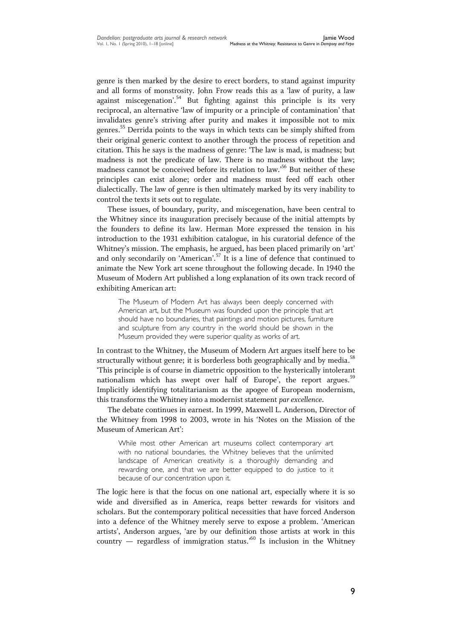genre is then marked by the desire to erect borders, to stand against impurity and all forms of monstrosity. John Frow reads this as a 'law of purity, a law against miscegenation'.<sup>54</sup> But fighting against this principle is its very reciprocal, an alternative 'law of impurity or a principle of contamination' that invalidates genre's striving after purity and makes it impossible not to mix genres. <sup>55</sup> Derrida points to the ways in which texts can be simply shifted from their original generic context to another through the process of repetition and citation. This he says is the madness of genre: ‗The law is mad, is madness; but madness is not the predicate of law. There is no madness without the law; madness cannot be conceived before its relation to law.' <sup>56</sup> But neither of these principles can exist alone; order and madness must feed off each other dialectically. The law of genre is then ultimately marked by its very inability to control the texts it sets out to regulate.

These issues, of boundary, purity, and miscegenation, have been central to the Whitney since its inauguration precisely because of the initial attempts by the founders to define its law. Herman More expressed the tension in his introduction to the 1931 exhibition catalogue, in his curatorial defence of the Whitney's mission. The emphasis, he argued, has been placed primarily on 'art' and only secondarily on 'American'.<sup>57</sup> It is a line of defence that continued to animate the New York art scene throughout the following decade. In 1940 the Museum of Modern Art published a long explanation of its own track record of exhibiting American art:

The Museum of Modern Art has always been deeply concerned with American art, but the Museum was founded upon the principle that art should have no boundaries, that paintings and motion pictures, furniture and sculpture from any country in the world should be shown in the Museum provided they were superior quality as works of art.

In contrast to the Whitney, the Museum of Modern Art argues itself here to be structurally without genre; it is borderless both geographically and by media.<sup>58</sup> ‗This principle is of course in diametric opposition to the hysterically intolerant nationalism which has swept over half of Europe', the report argues.<sup>59</sup> Implicitly identifying totalitarianism as the apogee of European modernism, this transforms the Whitney into a modernist statement *par excellence*.

The debate continues in earnest. In 1999, Maxwell L. Anderson, Director of the Whitney from 1998 to 2003, wrote in his 'Notes on the Mission of the Museum of American Art':

While most other American art museums collect contemporary art with no national boundaries, the Whitney believes that the unlimited landscape of American creativity is a thoroughly demanding and rewarding one, and that we are better equipped to do justice to it because of our concentration upon it.

The logic here is that the focus on one national art, especially where it is so wide and diversified as in America, reaps better rewards for visitors and scholars. But the contemporary political necessities that have forced Anderson into a defence of the Whitney merely serve to expose a problem. 'American artists', Anderson argues, 'are by our definition those artists at work in this country — regardless of immigration status.<sup>50</sup> Is inclusion in the Whitney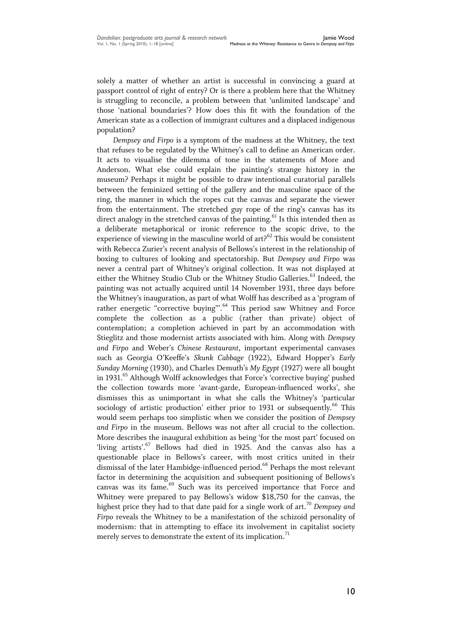solely a matter of whether an artist is successful in convincing a guard at passport control of right of entry? Or is there a problem here that the Whitney is struggling to reconcile, a problem between that 'unlimited landscape' and those ‗national boundaries'? How does this fit with the foundation of the American state as a collection of immigrant cultures and a displaced indigenous population?

*Dempsey and Firpo* is a symptom of the madness at the Whitney, the text that refuses to be regulated by the Whitney's call to define an American order. It acts to visualise the dilemma of tone in the statements of More and Anderson. What else could explain the painting's strange history in the museum? Perhaps it might be possible to draw intentional curatorial parallels between the feminized setting of the gallery and the masculine space of the ring, the manner in which the ropes cut the canvas and separate the viewer from the entertainment. The stretched guy rope of the ring's canvas has its direct analogy in the stretched canvas of the painting.<sup>61</sup> Is this intended then as a deliberate metaphorical or ironic reference to the scopic drive, to the experience of viewing in the masculine world of  $art2^{62}$  This would be consistent with Rebecca Zurier's recent analysis of Bellows's interest in the relationship of boxing to cultures of looking and spectatorship. But *Dempsey and Firpo* was never a central part of Whitney's original collection. It was not displayed at either the Whitney Studio Club or the Whitney Studio Galleries.<sup>63</sup> Indeed, the painting was not actually acquired until 14 November 1931, three days before the Whitney's inauguration, as part of what Wolff has described as a 'program of rather energetic "corrective buying".<sup>64</sup> This period saw Whitney and Force complete the collection as a public (rather than private) object of contemplation; a completion achieved in part by an accommodation with Stieglitz and those modernist artists associated with him. Along with *Dempsey and Firpo* and Weber's *Chinese Restaurant*, important experimental canvases such as Georgia O'Keeffe's *Skunk Cabbage* (1922), Edward Hopper's *Early Sunday Morning* (1930), and Charles Demuth's *My Egypt* (1927) were all bought in 1931.<sup>65</sup> Although Wolff acknowledges that Force's 'corrective buying' pushed the collection towards more ‗avant-garde, European-influenced works', she dismisses this as unimportant in what she calls the Whitney's 'particular sociology of artistic production' either prior to 1931 or subsequently.<sup>66</sup> This would seem perhaps too simplistic when we consider the position of *Dempsey and Firpo* in the museum. Bellows was not after all crucial to the collection. More describes the inaugural exhibition as being 'for the most part' focused on 'living artists'.<sup>67</sup> Bellows had died in 1925. And the canvas also has a questionable place in Bellows's career, with most critics united in their dismissal of the later Hambidge-influenced period.<sup>68</sup> Perhaps the most relevant factor in determining the acquisition and subsequent positioning of Bellows's canvas was its fame.<sup>69</sup> Such was its perceived importance that Force and Whitney were prepared to pay Bellows's widow \$18,750 for the canvas, the highest price they had to that date paid for a single work of art.<sup>70</sup> *Dempsey and Firpo* reveals the Whitney to be a manifestation of the schizoid personality of modernism: that in attempting to efface its involvement in capitalist society merely serves to demonstrate the extent of its implication.<sup>71</sup>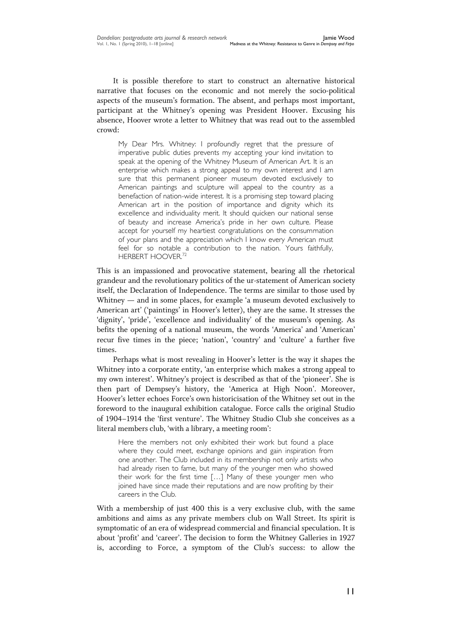It is possible therefore to start to construct an alternative historical narrative that focuses on the economic and not merely the socio-political aspects of the museum's formation. The absent, and perhaps most important, participant at the Whitney's opening was President Hoover. Excusing his absence, Hoover wrote a letter to Whitney that was read out to the assembled crowd:

My Dear Mrs. Whitney: I profoundly regret that the pressure of imperative public duties prevents my accepting your kind invitation to speak at the opening of the Whitney Museum of American Art. It is an enterprise which makes a strong appeal to my own interest and I am sure that this permanent pioneer museum devoted exclusively to American paintings and sculpture will appeal to the country as a benefaction of nation-wide interest. It is a promising step toward placing American art in the position of importance and dignity which its excellence and individuality merit. It should quicken our national sense of beauty and increase America's pride in her own culture. Please accept for yourself my heartiest congratulations on the consummation of your plans and the appreciation which I know every American must feel for so notable a contribution to the nation. Yours faithfully, HERBERT HOOVER.<sup>72</sup>

This is an impassioned and provocative statement, bearing all the rhetorical grandeur and the revolutionary politics of the ur-statement of American society itself, the Declaration of Independence. The terms are similar to those used by Whitney — and in some places, for example  $\alpha$  museum devoted exclusively to American art' ('paintings' in Hoover's letter), they are the same. It stresses the 'dignity', 'pride', 'excellence and individuality' of the museum's opening. As befits the opening of a national museum, the words 'America' and 'American' recur five times in the piece; 'nation', 'country' and 'culture' a further five times.

Perhaps what is most revealing in Hoover's letter is the way it shapes the Whitney into a corporate entity, 'an enterprise which makes a strong appeal to my own interest'. Whitney's project is described as that of the 'pioneer'. She is then part of Dempsey's history, the 'America at High Noon'. Moreover, Hoover's letter echoes Force's own historicisation of the Whitney set out in the foreword to the inaugural exhibition catalogue. Force calls the original Studio of 1904–1914 the 'first venture'. The Whitney Studio Club she conceives as a literal members club, 'with a library, a meeting room':

Here the members not only exhibited their work but found a place where they could meet, exchange opinions and gain inspiration from one another. The Club included in its membership not only artists who had already risen to fame, but many of the younger men who showed their work for the first time […] Many of these younger men who joined have since made their reputations and are now profiting by their careers in the Club.

With a membership of just 400 this is a very exclusive club, with the same ambitions and aims as any private members club on Wall Street. Its spirit is symptomatic of an era of widespread commercial and financial speculation. It is about 'profit' and 'career'. The decision to form the Whitney Galleries in 1927 is, according to Force, a symptom of the Club's success: to allow the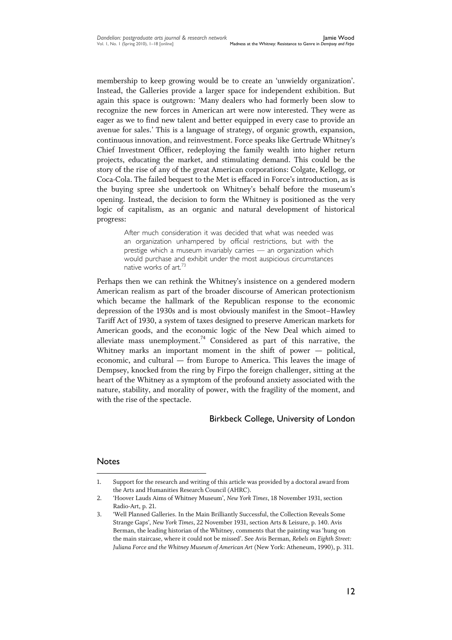membership to keep growing would be to create an 'unwieldy organization'. Instead, the Galleries provide a larger space for independent exhibition. But again this space is outgrown: 'Many dealers who had formerly been slow to recognize the new forces in American art were now interested. They were as eager as we to find new talent and better equipped in every case to provide an avenue for sales.' This is a language of strategy, of organic growth, expansion, continuous innovation, and reinvestment. Force speaks like Gertrude Whitney's Chief Investment Officer, redeploying the family wealth into higher return projects, educating the market, and stimulating demand. This could be the story of the rise of any of the great American corporations: Colgate, Kellogg, or Coca-Cola. The failed bequest to the Met is effaced in Force's introduction, as is the buying spree she undertook on Whitney's behalf before the museum's opening. Instead, the decision to form the Whitney is positioned as the very logic of capitalism, as an organic and natural development of historical progress:

> After much consideration it was decided that what was needed was an organization unhampered by official restrictions, but with the prestige which a museum invariably carries — an organization which would purchase and exhibit under the most auspicious circumstances native works of art.<sup>73</sup>

Perhaps then we can rethink the Whitney's insistence on a gendered modern American realism as part of the broader discourse of American protectionism which became the hallmark of the Republican response to the economic depression of the 1930s and is most obviously manifest in the Smoot–Hawley Tariff Act of 1930, a system of taxes designed to preserve American markets for American goods, and the economic logic of the New Deal which aimed to alleviate mass unemployment.<sup>74</sup> Considered as part of this narrative, the Whitney marks an important moment in the shift of power — political, economic, and cultural — from Europe to America. This leaves the image of Dempsey, knocked from the ring by Firpo the foreign challenger, sitting at the heart of the Whitney as a symptom of the profound anxiety associated with the nature, stability, and morality of power, with the fragility of the moment, and with the rise of the spectacle.

## Birkbeck College, University of London

## Notes

 1. Support for the research and writing of this article was provided by a doctoral award from the Arts and Humanities Research Council (AHRC).

<sup>2.</sup> ‗Hoover Lauds Aims of Whitney Museum', *New York Times*, 18 November 1931, section Radio-Art, p. 21.

<sup>3.</sup> ‗Well Planned Galleries. In the Main Brilliantly Successful, the Collection Reveals Some Strange Gaps', *New York Times*, 22 November 1931, section Arts & Leisure, p. 140. Avis Berman, the leading historian of the Whitney, comments that the painting was 'hung on the main staircase, where it could not be missed'. See Avis Berman, *Rebels on Eighth Street: Juliana Force and the Whitney Museum of American Art* (New York: Atheneum, 1990), p. 311.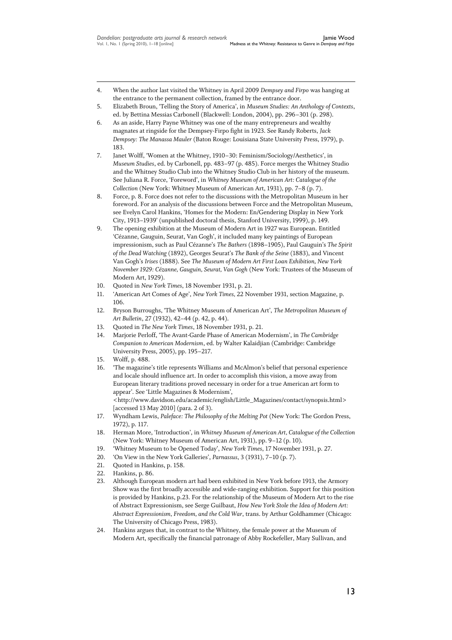- 4. When the author last visited the Whitney in April 2009 *Dempsey and Firpo* was hanging at the entrance to the permanent collection, framed by the entrance door.
- 5. Elizabeth Broun, ‗Telling the Story of America', in *Museum Studies: An Anthology of Contexts*, ed. by Bettina Messias Carbonell (Blackwell: London, 2004), pp. 296–301 (p. 298).
- 6. As an aside, Harry Payne Whitney was one of the many entrepreneurs and wealthy magnates at ringside for the Dempsey-Firpo fight in 1923. See Randy Roberts, *Jack Dempsey: The Manassa Mauler* (Baton Rouge: Louisiana State University Press, 1979), p. 183.
- 7. Janet Wolff, 'Women at the Whitney, 1910–30: Feminism/Sociology/Aesthetics', in *Museum Studies*, ed. by Carbonell, pp. 483–97 (p. 485). Force merges the Whitney Studio and the Whitney Studio Club into the Whitney Studio Club in her history of the museum. See Juliana R. Force, 'Foreword', in *Whitney Museum of American Art: Catalogue of the Collection* (New York: Whitney Museum of American Art, 1931), pp. 7–8 (p. 7).
- 8. Force, p. 8. Force does not refer to the discussions with the Metropolitan Museum in her foreword. For an analysis of the discussions between Force and the Metropolitan Museum, see Evelyn Carol Hankins, 'Homes for the Modern: En/Gendering Display in New York City, 1913–1939' (unpublished doctoral thesis, Stanford University, 1999), p. 149.
- 9. The opening exhibition at the Museum of Modern Art in 1927 was European. Entitled ‗Cézanne, Gauguin, Seurat, Van Gogh', it included many key paintings of European impressionism, such as Paul Cézanne's *The Bathers* (1898–1905), Paul Gauguin's *The Spirit of the Dead Watching* (1892), Georges Seurat's *The Bank of the Seine* (1883), and Vincent Van Gogh's *Irises* (1888). See *The Museum of Modern Art First Loan Exhibition, New York November 1929: Cézanne, Gauguin, Seurat, Van Gogh* (New York: Trustees of the Museum of Modern Art, 1929).
- 10. Quoted in *New York Times*, 18 November 1931, p. 21.
- 11. ‗American Art Comes of Age', *New York Times,* 22 November 1931, section Magazine, p. 106.
- 12. Bryson Burroughs, ‗The Whitney Museum of American Art', *The Metropolitan Museum of Art Bulletin*, 27 (1932), 42–44 (p. 42, p. 44).
- 13. Quoted in *The New York Times*, 18 November 1931, p. 21.
- 14. Marjorie Perloff, ‗The Avant-Garde Phase of American Modernism', in *The Cambridge Companion to American Modernism*, ed. by Walter Kalaidjian (Cambridge: Cambridge University Press, 2005), pp. 195–217.
- 15. Wolff, p. 488.

- 16. ‗The magazine's title represents Williams and McAlmon's belief that personal experience and locale should influence art. In order to accomplish this vision, a move away from European literary traditions proved necessary in order for a true American art form to appear'. See 'Little Magazines & Modernism', <http://www.davidson.edu/academic/english/Little\_Magazines/contact/synopsis.html> [accessed 13 May 2010] (para. 2 of 3).
- 17. Wyndham Lewis, *Paleface: The Philosophy of the Melting Pot* (New York: The Gordon Press, 1972), p. 117.
- 18. Herman More, ‗Introduction', in *Whitney Museum of American Art, Catalogue of the Collection* (New York: Whitney Museum of American Art, 1931), pp. 9–12 (p. 10).
- 19. ‗Whitney Museum to be Opened Today', *New York Times*, 17 November 1931, p. 27.
- 20. ‗On View in the New York Galleries', *Parnassus*, 3 (1931), 7–10 (p. 7).
- 21. Quoted in Hankins, p. 158.
- 22. Hankins, p. 86.
- 23. Although European modern art had been exhibited in New York before 1913, the Armory Show was the first broadly accessible and wide-ranging exhibition. Support for this position is provided by Hankins, p.23. For the relationship of the Museum of Modern Art to the rise of Abstract Expressionism, see Serge Guilbaut, *How New York Stole the Idea of Modern Art: Abstract Expressionism, Freedom, and the Cold War*, trans. by Arthur Goldhammer (Chicago: The University of Chicago Press, 1983).
- 24. Hankins argues that, in contrast to the Whitney, the female power at the Museum of Modern Art, specifically the financial patronage of Abby Rockefeller, Mary Sullivan, and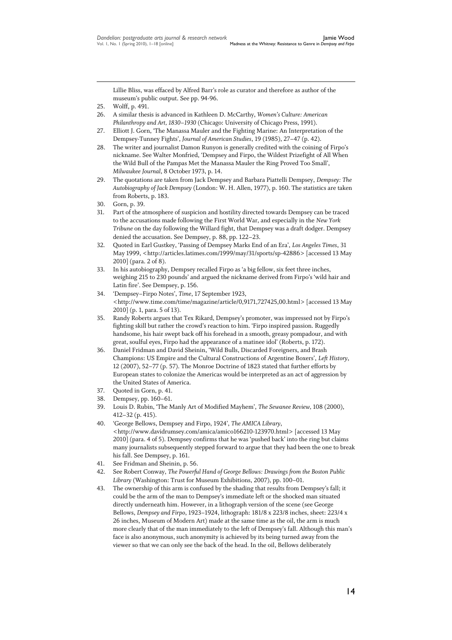Lillie Bliss, was effaced by Alfred Barr's role as curator and therefore as author of the museum's public output. See pp. 94-96.

- 26. A similar thesis is advanced in Kathleen D. McCarthy, *Women's Culture: American Philanthropy and Art, 1830–1930* (Chicago: University of Chicago Press, 1991).
- 27. Elliott J. Gorn, 'The Manassa Mauler and the Fighting Marine: An Interpretation of the Dempsey-Tunney Fights', *Journal of American Studies*, 19 (1985), 27–47 (p. 42).
- 28. The writer and journalist Damon Runyon is generally credited with the coining of Firpo's nickname. See Walter Monfried, 'Dempsey and Firpo, the Wildest Prizefight of All When the Wild Bull of the Pampas Met the Manassa Mauler the Ring Proved Too Small', *Milwaukee Journal*, 8 October 1973, p. 14.
- 29. The quotations are taken from Jack Dempsey and Barbara Piattelli Dempsey, *Dempsey: The Autobiography of Jack Dempsey* (London: W. H. Allen, 1977), p. 160. The statistics are taken from Roberts, p. 183.

- 31. Part of the atmosphere of suspicion and hostility directed towards Dempsey can be traced to the accusations made following the First World War, and especially in the *New York Tribune* on the day following the Willard fight, that Dempsey was a draft dodger. Dempsey denied the accusation. See Dempsey, p. 88, pp. 122–23.
- 32. Quoted in Earl Gustkey, 'Passing of Dempsey Marks End of an Era', *Los Angeles Times*, 31 May 1999, <http://articles.latimes.com/1999/may/31/sports/sp-42886> [accessed 13 May 2010] (para. 2 of 8).
- 33. In his autobiography, Dempsey recalled Firpo as 'a big fellow, six feet three inches, weighing 215 to 230 pounds' and argued the nickname derived from Firpo's 'wild hair and Latin fire'. See Dempsey, p. 156.
- 34. ‗Dempsey–Firpo Notes', *Time*, 17 September 1923, <http://www.time.com/time/magazine/article/0,9171,727425,00.html> [accessed 13 May 2010] (p. 1, para. 5 of 13).
- 35. Randy Roberts argues that Tex Rikard, Dempsey's promoter, was impressed not by Firpo's fighting skill but rather the crowd's reaction to him. 'Firpo inspired passion. Ruggedly handsome, his hair swept back off his forehead in a smooth, greasy pompadour, and with great, soulful eyes, Firpo had the appearance of a matinee idol' (Roberts, p. 172).
- 36. Daniel Fridman and David Sheinin, 'Wild Bulls, Discarded Foreigners, and Brash Champions: US Empire and the Cultural Constructions of Argentine Boxers', *Left History*, 12 (2007), 52–77 (p. 57). The Monroe Doctrine of 1823 stated that further efforts by European states to colonize the Americas would be interpreted as an act of aggression by the United States of America.
- 37. Quoted in Gorn, p. 41.
- 38. Dempsey, pp. 160–61.
- 39. Louis D. Rubin, ‗The Manly Art of Modified Mayhem', *The Sewanee Review,* 108 (2000), 412–32 (p. 415).
- 40. ‗George Bellows, Dempsey and Firpo, 1924', *The AMICA Library*, <http://www.davidrumsey.com/amica/amico166210-123970.html> [accessed 13 May 2010] (para. 4 of 5). Dempsey confirms that he was 'pushed back' into the ring but claims many journalists subsequently stepped forward to argue that they had been the one to break his fall. See Dempsey, p. 161.
- 41. See Fridman and Sheinin, p. 56.
- 42. See Robert Conway, *The Powerful Hand of George Bellows: Drawings from the Boston Public Library* (Washington: Trust for Museum Exhibitions, 2007), pp. 100–01.
- 43. The ownership of this arm is confused by the shading that results from Dempsey's fall; it could be the arm of the man to Dempsey's immediate left or the shocked man situated directly underneath him. However, in a lithograph version of the scene (see George Bellows, *Dempsey and Firpo*, 1923–1924, lithograph: 181/8 x 223/8 inches, sheet: 223/4 x 26 inches, Museum of Modern Art) made at the same time as the oil, the arm is much more clearly that of the man immediately to the left of Dempsey's fall. Although this man's face is also anonymous, such anonymity is achieved by its being turned away from the viewer so that we can only see the back of the head. In the oil, Bellows deliberately

<sup>25.</sup> Wolff, p. 491.

<sup>30.</sup> Gorn, p. 39.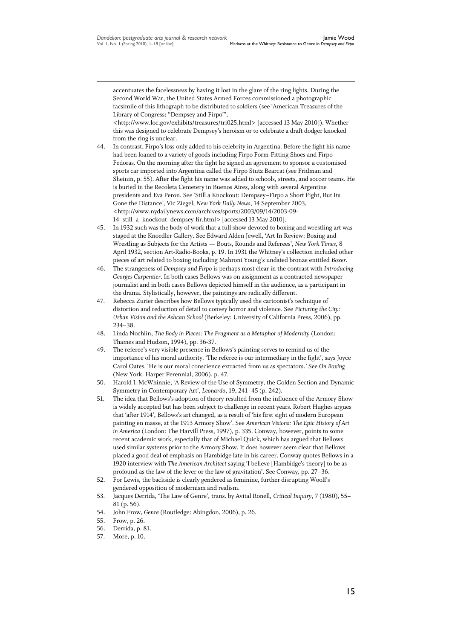accentuates the facelessness by having it lost in the glare of the ring lights. During the Second World War, the United States Armed Forces commissioned a photographic facsimile of this lithograph to be distributed to soldiers (see ‗American Treasures of the Library of Congress: "Dempsey and Firpo"

<http://www.loc.gov/exhibits/treasures/tri025.html> [accessed 13 May 2010]). Whether this was designed to celebrate Dempsey's heroism or to celebrate a draft dodger knocked from the ring is unclear.

- 44. In contrast, Firpo's loss only added to his celebrity in Argentina. Before the fight his name had been loaned to a variety of goods including Firpo Form-Fitting Shoes and Firpo Fedoras. On the morning after the fight he signed an agreement to sponsor a customised sports car imported into Argentina called the Firpo Stutz Bearcat (see Fridman and Sheinin, p. 55). After the fight his name was added to schools, streets, and soccer teams. He is buried in the Recoleta Cemetery in Buenos Aires, along with several Argentine presidents and Eva Peron. See 'Still a Knockout: Dempsey-Firpo a Short Fight, But Its Gone the Distance', Vic Ziegel, *New York Daily News*, 14 September 2003, <http://www.nydailynews.com/archives/sports/2003/09/14/2003-09- 14\_still\_a\_knockout\_dempsey-fir.html> [accessed 13 May 2010].
- 45. In 1932 such was the body of work that a full show devoted to boxing and wrestling art was staged at the Knoedler Gallery. See Edward Alden Jewell, 'Art In Review: Boxing and Wrestling as Subjects for the Artists — Bouts, Rounds and Referees', *New York Times*, 8 April 1932, section Art-Radio-Books, p. 19. In 1931 the Whitney's collection included other pieces of art related to boxing including Mahroni Young's undated bronze entitled *Boxer*.
- 46. The strangeness of *Dempsey and Firpo* is perhaps most clear in the contrast with *Introducing Georges Carpentier*. In both cases Bellows was on assignment as a contracted newspaper journalist and in both cases Bellows depicted himself in the audience, as a participant in the drama. Stylistically, however, the paintings are radically different.
- 47. Rebecca Zurier describes how Bellows typically used the cartoonist's technique of distortion and reduction of detail to convey horror and violence. See *Picturing the City: Urban Vision and the Ashcan School* (Berkeley: University of California Press, 2006), pp. 234–38.
- 48. Linda Nochlin, *The Body in Pieces: The Fragment as a Metaphor of Modernity* (London: Thames and Hudson, 1994), pp. 36-37.
- 49. The referee's very visible presence in Bellows's painting serves to remind us of the importance of his moral authority. 'The referee is our intermediary in the fight', says Joyce Carol Oates. ‗He is our moral conscience extracted from us as spectators.' See *On Boxing* (New York: Harper Perennial, 2006), p. 47.
- 50. Harold J. McWhinnie, 'A Review of the Use of Symmetry, the Golden Section and Dynamic Symmetry in Contemporary Art', *Leonardo*, 19, 241–45 (p. 242).
- 51. The idea that Bellows's adoption of theory resulted from the influence of the Armory Show is widely accepted but has been subject to challenge in recent years. Robert Hughes argues that 'after 1914', Bellows's art changed, as a result of 'his first sight of modern European painting en masse, at the 1913 Armory Show'. See *American Visions: The Epic History of Art in America* (London: The Harvill Press, 1997), p. 335. Conway, however, points to some recent academic work, especially that of Michael Quick, which has argued that Bellows used similar systems prior to the Armory Show. It does however seem clear that Bellows placed a good deal of emphasis on Hambidge late in his career. Conway quotes Bellows in a 1920 interview with *The American Architect* saying ‗I believe [Hambidge's theory] to be as profound as the law of the lever or the law of gravitation'. See Conway, pp. 27–36.
- 52. For Lewis, the backside is clearly gendered as feminine, further disrupting Woolf's gendered opposition of modernism and realism.
- 53. Jacques Derrida, ‗The Law of Genre', trans. by Avital Ronell, *Critical Inquiry*, 7 (1980), 55– 81 (p. 56).
- 54. John Frow, *Genre* (Routledge: Abingdon, 2006), p. 26.
- 55. Frow, p. 26.

- 56. Derrida, p. 81.
- 57. More, p. 10.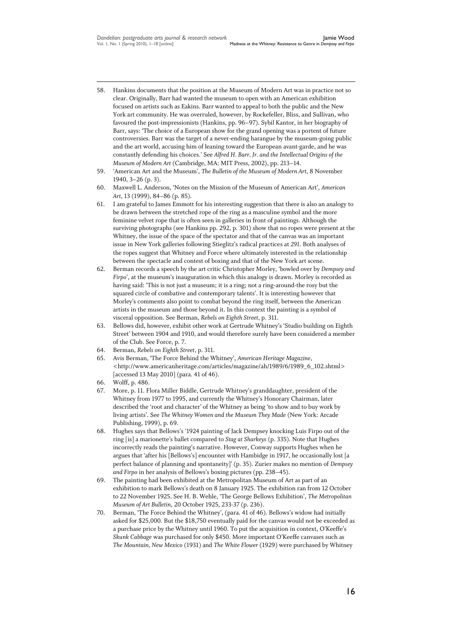- 58. Hankins documents that the position at the Museum of Modern Art was in practice not so clear. Originally, Barr had wanted the museum to open with an American exhibition focused on artists such as Eakins. Barr wanted to appeal to both the public and the New York art community. He was overruled, however, by Rockefeller, Bliss, and Sullivan, who favoured the post-impressionists (Hankins, pp. 96–97). Sybil Kantor, in her biography of Barr, says: 'The choice of a European show for the grand opening was a portent of future controversies. Barr was the target of a never-ending harangue by the museum-going public and the art world, accusing him of leaning toward the European avant-garde, and he was constantly defending his choices.' See *Alfred H. Barr, Jr. and the Intellectual Origins of the Museum of Modern Art* (Cambridge, MA: MIT Press, 2002), pp. 213–14.
- 59. ‗American Art and the Museum', *The Bulletin of the Museum of Modern Art*, 8 November 1940, 3–26 (p. 3).
- 60. Maxwell L. Anderson, ‗Notes on the Mission of the Museum of American Art', *American Art*, 13 (1999), 84–86 (p. 85).
- 61. I am grateful to James Emmott for his interesting suggestion that there is also an analogy to be drawn between the stretched rope of the ring as a masculine symbol and the more feminine velvet rope that is often seen in galleries in front of paintings. Although the surviving photographs (see Hankins pp. 292, p. 301) show that no ropes were present at the Whitney, the issue of the space of the spectator and that of the canvas was an important issue in New York galleries following Stieglitz's radical practices at *291*. Both analyses of the ropes suggest that Whitney and Force where ultimately interested in the relationship between the spectacle and contest of boxing and that of the New York art scene.
- 62. Berman records a speech by the art critic Christopher Morley, ‗bowled over by *Dempsey and Firpo*', at the museum's inauguration in which this analogy is drawn. Morley is recorded as having said: ‗This is not just a museum; it is a ring; not a ring-around-the rosy but the squared circle of combative and contemporary talents'. It is interesting however that Morley's comments also point to combat beyond the ring itself, between the American artists in the museum and those beyond it. In this context the painting is a symbol of visceral opposition. See Berman, *Rebels on Eighth Street*, p. 311.
- 63. Bellows did, however, exhibit other work at Gertrude Whitney's ‗Studio building on Eighth Street' between 1904 and 1910, and would therefore surely have been considered a member of the Club. See Force, p. 7.
- 64. Berman, *Rebels on Eighth Street*, p. 311.
- 65. Avis Berman, ‗The Force Behind the Whitney', *American Heritage Magazine*, <http://www.americanheritage.com/articles/magazine/ah/1989/6/1989\_6\_102.shtml> [accessed 13 May 2010] (para. 41 of 46).
- 66. Wolff, p. 486.

- 67. More, p. 11. Flora Miller Biddle, Gertrude Whitney's granddaughter, president of the Whitney from 1977 to 1995, and currently the Whitney's Honorary Chairman, later described the 'root and character' of the Whitney as being 'to show and to buy work by living artists'. See *The Whitney Women and the Museum They Made* (New York: Arcade Publishing, 1999), p. 69.
- 68. Hughes says that Bellows's ‗1924 painting of Jack Dempsey knocking Luis Firpo out of the ring [is] a marionette's ballet compared to *Stag at Sharkeys* (p. 335). Note that Hughes incorrectly reads the painting's narrative. However, Conway supports Hughes when he argues that 'after his [Bellows's] encounter with Hambidge in 1917, he occasionally lost [a perfect balance of planning and spontaneity]' (p. 35). Zurier makes no mention of *Dempsey and Firpo* in her analysis of Bellows's boxing pictures (pp. 238–45).
- 69. The painting had been exhibited at the Metropolitan Museum of Art as part of an exhibition to mark Bellows's death on 8 January 1925. The exhibition ran from 12 October to 22 November 1925. See H. B. Wehle, ‗The George Bellows Exhibition', *The Metropolitan Museum of Art Bulletin*, 20 October 1925, 233-37 (p. 236).
- 70. Berman, 'The Force Behind the Whitney', (para. 41 of 46). Bellows's widow had initially asked for \$25,000. But the \$18,750 eventually paid for the canvas would not be exceeded as a purchase price by the Whitney until 1960. To put the acquisition in context, O'Keeffe's *Skunk Cabbage* was purchased for only \$450. More important O'Keeffe canvases such as *The Mountain, New Mexico* (1931) and *The White Flower* (1929) were purchased by Whitney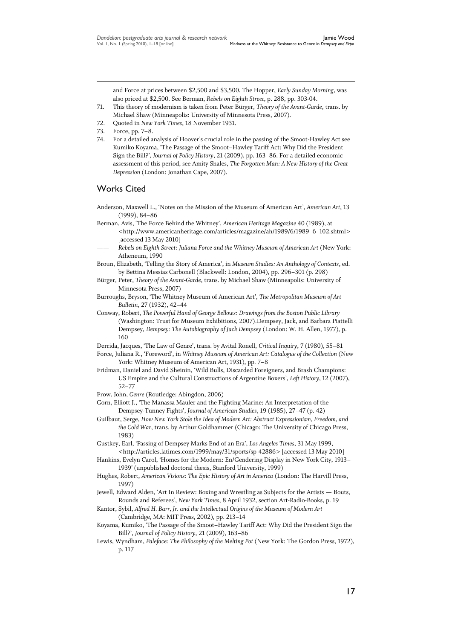and Force at prices between \$2,500 and \$3,500. The Hopper, *Early Sunday Morning*, was also priced at \$2,500. See Berman, *Rebels on Eighth Street*, p. 288, pp. 303-04.

- 71. This theory of modernism is taken from Peter Bürger, *Theory of the Avant-Garde*, trans. by Michael Shaw (Minneapolis: University of Minnesota Press, 2007).
- 72. Quoted in *New York Times*, 18 November 1931.
- 73. Force, pp. 7–8.

74. For a detailed analysis of Hoover's crucial role in the passing of the Smoot-Hawley Act see Kumiko Koyama, 'The Passage of the Smoot–Hawley Tariff Act: Why Did the President Sign the Bill?', *Journal of Policy History*, 21 (2009), pp. 163–86. For a detailed economic assessment of this period, see Amity Shales, *The Forgotten Man: A New History of the Great Depression* (London: Jonathan Cape, 2007).

## Works Cited

- Anderson, Maxwell L., 'Notes on the Mission of the Museum of American Art', *American Art*, 13 (1999), 84–86
- Berman, Avis, ‗The Force Behind the Whitney', *American Heritage Magazine* 40 (1989), at <http://www.americanheritage.com/articles/magazine/ah/1989/6/1989\_6\_102.shtml> [accessed 13 May 2010]
- —— *Rebels on Eighth Street: Juliana Force and the Whitney Museum of American Art* (New York: Atheneum, 1990
- Broun, Elizabeth, 'Telling the Story of America', in *Museum Studies: An Anthology of Contexts*, ed. by Bettina Messias Carbonell (Blackwell: London, 2004), pp. 296–301 (p. 298)
- Bürger, Peter, *Theory of the Avant-Garde*, trans. by Michael Shaw (Minneapolis: University of Minnesota Press, 2007)
- Burroughs, Bryson, ‗The Whitney Museum of American Art', *The Metropolitan Museum of Art Bulletin*, 27 (1932), 42–44
- Conway, Robert, *The Powerful Hand of George Bellows: Drawings from the Boston Public Library* (Washington: Trust for Museum Exhibitions, 2007).Dempsey, Jack, and Barbara Piattelli Dempsey, *Dempsey: The Autobiography of Jack Dempsey* (London: W. H. Allen, 1977), p. 160
- Derrida, Jacques, ‗The Law of Genre', trans. by Avital Ronell, *Critical Inquiry*, 7 (1980), 55–81
- Force, Juliana R., 'Foreword', in Whitney Museum of American Art: Catalogue of the Collection (New York: Whitney Museum of American Art, 1931), pp. 7–8
- Fridman, Daniel and David Sheinin, 'Wild Bulls, Discarded Foreigners, and Brash Champions: US Empire and the Cultural Constructions of Argentine Boxers', *Left History*, 12 (2007), 52–77
- Frow, John, *Genre* (Routledge: Abingdon, 2006)
- Gorn, Elliott J., 'The Manassa Mauler and the Fighting Marine: An Interpretation of the Dempsey-Tunney Fights', *Journal of American Studies*, 19 (1985), 27–47 (p. 42)
- Guilbaut, Serge, *How New York Stole the Idea of Modern Art: Abstract Expressionism, Freedom, and the Cold War*, trans. by Arthur Goldhammer (Chicago: The University of Chicago Press, 1983)
- Gustkey, Earl, ‗Passing of Dempsey Marks End of an Era', *Los Angeles Times*, 31 May 1999, <http://articles.latimes.com/1999/may/31/sports/sp-42886> [accessed 13 May 2010]
- Hankins, Evelyn Carol, 'Homes for the Modern: En/Gendering Display in New York City, 1913-1939' (unpublished doctoral thesis, Stanford University, 1999)
- Hughes, Robert, *American Visions: The Epic History of Art in America* (London: The Harvill Press, 1997)
- Jewell, Edward Alden, 'Art In Review: Boxing and Wrestling as Subjects for the Artists Bouts, Rounds and Referees', *New York Times*, 8 April 1932, section Art-Radio-Books, p. 19
- Kantor, Sybil, *Alfred H. Barr, Jr. and the Intellectual Origins of the Museum of Modern Art* (Cambridge, MA: MIT Press, 2002), pp. 213–14
- Koyama, Kumiko, 'The Passage of the Smoot-Hawley Tariff Act: Why Did the President Sign the Bill?', *Journal of Policy History*, 21 (2009), 163–86
- Lewis, Wyndham, *Paleface: The Philosophy of the Melting Pot* (New York: The Gordon Press, 1972), p. 117